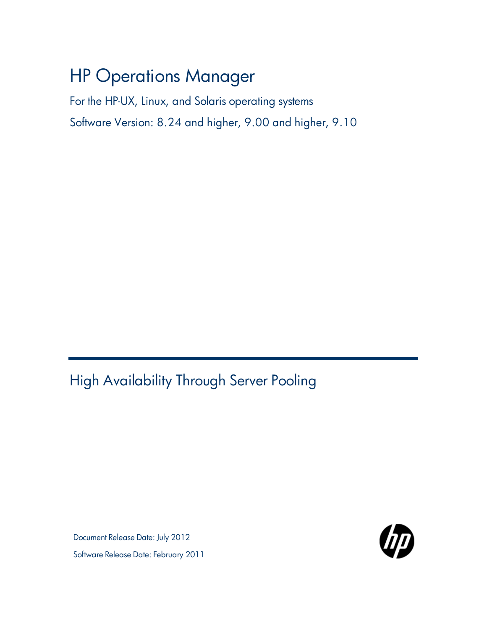# HP Operations Manager

For the HP-UX, Linux, and Solaris operating systems Software Version: 8.24 and higher, 9.00 and higher, 9.10

<span id="page-0-0"></span>High Availability Through Server Pooling

Document Release Date: July 2012 Software Release Date: February 2011

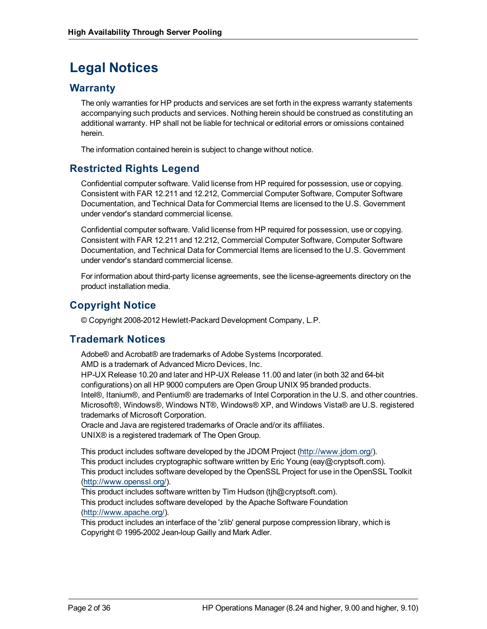## **Legal Notices**

### **Warranty**

The only warranties for HP products and services are set forth in the express warranty statements accompanying such products and services. Nothing herein should be construed as constituting an additional warranty. HP shall not be liable for technical or editorial errors or omissions contained herein.

The information contained herein is subject to change without notice.

### **Restricted Rights Legend**

Confidential computer software. Valid license from HP required for possession, use or copying. Consistent with FAR 12.211 and 12.212, Commercial Computer Software, Computer Software Documentation, and Technical Data for Commercial Items are licensed to the U.S. Government under vendor's standard commercial license.

Confidential computer software. Valid license from HP required for possession, use or copying. Consistent with FAR 12.211 and 12.212, Commercial Computer Software, Computer Software Documentation, and Technical Data for Commercial Items are licensed to the U.S. Government under vendor's standard commercial license.

For information about third-party license agreements, see the license-agreements directory on the product installation media.

### **Copyright Notice**

© Copyright 2008-2012 Hewlett-Packard Development Company, L.P.

### **Trademark Notices**

Adobe® and Acrobat® are trademarks of Adobe Systems Incorporated. AMD is a trademark of Advanced Micro Devices, Inc. HP-UX Release 10.20 and later and HP-UX Release 11.00 and later (in both 32 and 64-bit configurations) on all HP 9000 computers are Open Group UNIX 95 branded products. Intel®, Itanium®, and Pentium® are trademarks of Intel Corporation in the U.S. and other countries. Microsoft®, Windows®, Windows NT®, Windows® XP, and Windows Vista® are U.S. registered trademarks of Microsoft Corporation.

Oracle and Java are registered trademarks of Oracle and/or its affiliates. UNIX® is a registered trademark of The Open Group.

This product includes software developed by the JDOM Project [\(http://www.jdom.org/\)](http://www.jdom.org/). This product includes cryptographic software written by Eric Young (eay@cryptsoft.com). This product includes software developed by the OpenSSL Project for use in the OpenSSL Toolkit [\(http://www.openssl.org/](http://www.openssl.org/)).

This product includes software written by Tim Hudson (tjh@cryptsoft.com). This product includes software developed by the Apache Software Foundation [\(http://www.apache.org/](http://www.apache.org/)).

This product includes an interface of the 'zlib' general purpose compression library, which is Copyright © 1995-2002 Jean-loup Gailly and Mark Adler.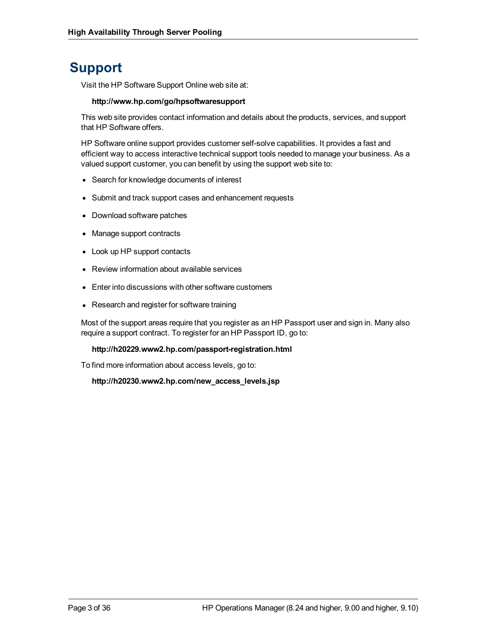## **Support**

Visit the HP Software Support Online web site at:

#### **http://www.hp.com/go/hpsoftwaresupport**

This web site provides contact information and details about the products, services, and support that HP Software offers.

HP Software online support provides customer self-solve capabilities. It provides a fast and efficient way to access interactive technical support tools needed to manage your business. As a valued support customer, you can benefit by using the support web site to:

- Search for knowledge documents of interest
- Submit and track support cases and enhancement requests
- Download software patches
- Manage support contracts
- Look up HP support contacts
- Review information about available services
- Enter into discussions with other software customers
- Research and register for software training

Most of the support areas require that you register as an HP Passport user and sign in. Many also require a support contract. To register for an HP Passport ID, go to:

#### **http://h20229.www2.hp.com/passport-registration.html**

To find more information about access levels, go to:

**http://h20230.www2.hp.com/new\_access\_levels.jsp**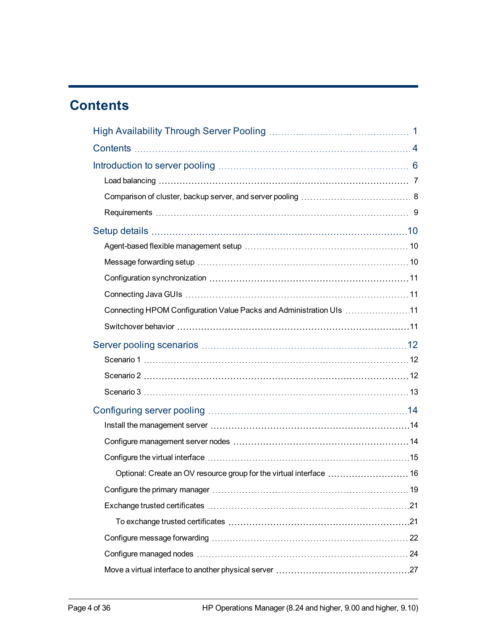## <span id="page-3-0"></span>**Contents**

| Connecting HPOM Configuration Value Packs and Administration UIs 11 |  |
|---------------------------------------------------------------------|--|
|                                                                     |  |
|                                                                     |  |
|                                                                     |  |
|                                                                     |  |
|                                                                     |  |
|                                                                     |  |
|                                                                     |  |
|                                                                     |  |
|                                                                     |  |
|                                                                     |  |
|                                                                     |  |
|                                                                     |  |
|                                                                     |  |
|                                                                     |  |
|                                                                     |  |
|                                                                     |  |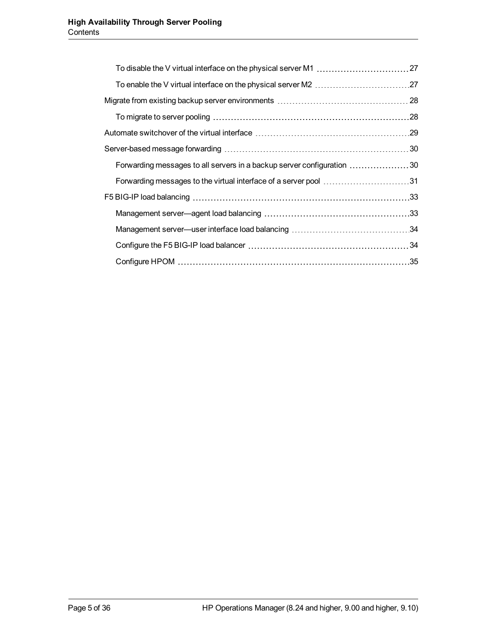| Forwarding messages to all servers in a backup server configuration 30 |  |
|------------------------------------------------------------------------|--|
| Forwarding messages to the virtual interface of a server pool 31       |  |
|                                                                        |  |
|                                                                        |  |
|                                                                        |  |
|                                                                        |  |
|                                                                        |  |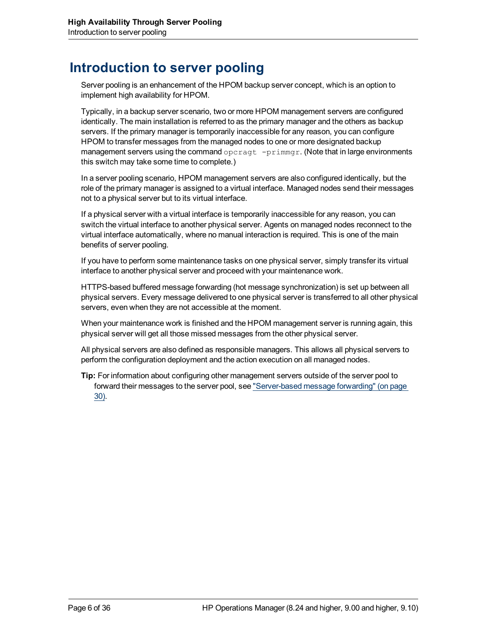## <span id="page-5-0"></span>**Introduction to server pooling**

Server pooling is an enhancement of the HPOM backup server concept, which is an option to implement high availability for HPOM.

Typically, in a backup server scenario, two or more HPOM management servers are configured identically. The main installation is referred to as the primary manager and the others as backup servers. If the primary manager is temporarily inaccessible for any reason, you can configure HPOM to transfer messages from the managed nodes to one or more designated backup management servers using the command  $\sigma$ pcragt  $-\text{primaryr}$ . (Note that in large environments this switch may take some time to complete.)

In a server pooling scenario, HPOM management servers are also configured identically, but the role of the primary manager is assigned to a virtual interface. Managed nodes send their messages not to a physical server but to its virtual interface.

If a physical server with a virtual interface is temporarily inaccessible for any reason, you can switch the virtual interface to another physical server. Agents on managed nodes reconnect to the virtual interface automatically, where no manual interaction is required. This is one of the main benefits of server pooling.

If you have to perform some maintenance tasks on one physical server, simply transfer its virtual interface to another physical server and proceed with your maintenance work.

HTTPS-based buffered message forwarding (hot message synchronization) is set up between all physical servers. Every message delivered to one physical server is transferred to all other physical servers, even when they are not accessible at the moment.

When your maintenance work is finished and the HPOM management server is running again, this physical server will get all those missed messages from the other physical server.

All physical servers are also defined as responsible managers. This allows all physical servers to perform the configuration deployment and the action execution on all managed nodes.

**Tip:** For information about configuring other management servers outside of the server pool to forward their messages to the server pool, see ["Server-based](#page-29-0) [message](#page-29-0) [forwarding"](#page-29-0) [\(on](#page-29-0) [page](#page-29-0) [30\)](#page-29-0).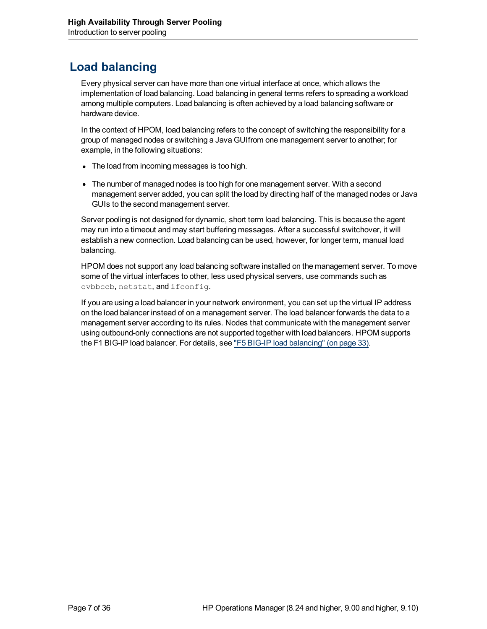## <span id="page-6-0"></span>**Load balancing**

Every physical server can have more than one virtual interface at once, which allows the implementation of load balancing. Load balancing in general terms refers to spreading a workload among multiple computers. Load balancing is often achieved by a load balancing software or hardware device.

In the context of HPOM, load balancing refers to the concept of switching the responsibility for a group of managed nodes or switching a Java GUIfrom one management server to another; for example, in the following situations:

- The load from incoming messages is too high.
- The number of managed nodes is too high for one management server. With a second management server added, you can split the load by directing half of the managed nodes or Java GUIs to the second management server.

Server pooling is not designed for dynamic, short term load balancing. This is because the agent may run into a timeout and may start buffering messages. After a successful switchover, it will establish a new connection. Load balancing can be used, however, for longer term, manual load balancing.

HPOM does not support any load balancing software installed on the management server. To move some of the virtual interfaces to other, less used physical servers, use commands such as ovbbccb, netstat, and ifconfig.

If you are using a load balancer in your network environment, you can set up the virtual IP address on the load balancer instead of on a management server. The load balancer forwards the data to a management server according to its rules. Nodes that communicate with the management server using outbound-only connections are not supported together with load balancers. HPOM supports the F1 BIG-IP load balancer. For details, see ["F5](#page-32-0) [BIG-IP](#page-32-0) [load](#page-32-0) [balancing"](#page-32-0) [\(on](#page-32-0) [page](#page-32-0) [33\).](#page-32-0)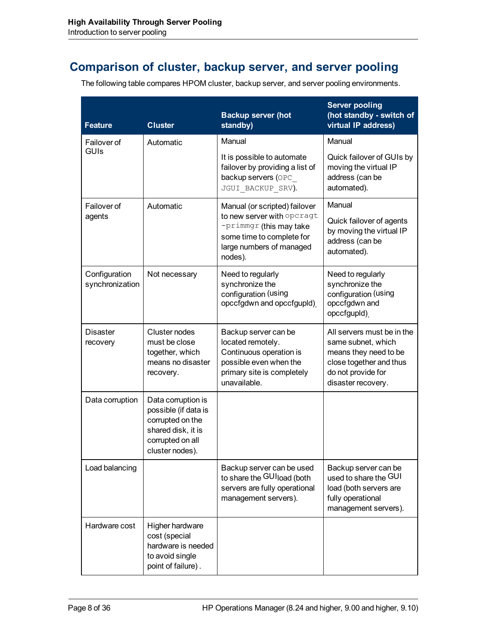## <span id="page-7-0"></span>**Comparison of cluster, backup server, and server pooling**

The following table compares HPOM cluster, backup server, and server pooling environments.

| <b>Feature</b>                   | <b>Cluster</b>                                                                                                              | <b>Backup server (hot</b><br>standby)                                                                                                                         | <b>Server pooling</b><br>(hot standby - switch of<br>virtual IP address)                                                                         |
|----------------------------------|-----------------------------------------------------------------------------------------------------------------------------|---------------------------------------------------------------------------------------------------------------------------------------------------------------|--------------------------------------------------------------------------------------------------------------------------------------------------|
| Failover of                      | Automatic                                                                                                                   | Manual                                                                                                                                                        | Manual                                                                                                                                           |
| <b>GUIS</b>                      |                                                                                                                             | It is possible to automate<br>failover by providing a list of<br>backup servers (OPC<br>JGUI BACKUP SRV).                                                     | Quick failover of GUIs by<br>moving the virtual IP<br>address (can be<br>automated).                                                             |
| Failover of<br>agents            | Automatic                                                                                                                   | Manual (or scripted) failover<br>to new server with opcragt<br>$-$ primmgr (this may take<br>some time to complete for<br>large numbers of managed<br>nodes). | Manual<br>Quick failover of agents<br>by moving the virtual IP<br>address (can be<br>automated).                                                 |
| Configuration<br>synchronization | Not necessary                                                                                                               | Need to regularly<br>synchronize the<br>configuration (using<br>opccfgdwn and opccfgupld)                                                                     | Need to regularly<br>synchronize the<br>configuration (using<br>opccfgdwn and<br>opccfgupld)                                                     |
| Disaster<br>recovery             | Cluster nodes<br>must be close<br>together, which<br>means no disaster<br>recovery.                                         | Backup server can be<br>located remotely.<br>Continuous operation is<br>possible even when the<br>primary site is completely<br>unavailable.                  | All servers must be in the<br>same subnet, which<br>means they need to be<br>close together and thus<br>do not provide for<br>disaster recovery. |
| Data corruption                  | Data corruption is<br>possible (if data is<br>corrupted on the<br>shared disk, it is<br>corrupted on all<br>cluster nodes). |                                                                                                                                                               |                                                                                                                                                  |
| Load balancing                   |                                                                                                                             | Backup server can be used<br>to share the GUI load (both<br>servers are fully operational<br>management servers).                                             | Backup server can be<br>used to share the GUI<br>load (both servers are<br>fully operational<br>management servers).                             |
| Hardware cost                    | Higher hardware<br>cost (special<br>hardware is needed<br>to avoid single<br>point of failure).                             |                                                                                                                                                               |                                                                                                                                                  |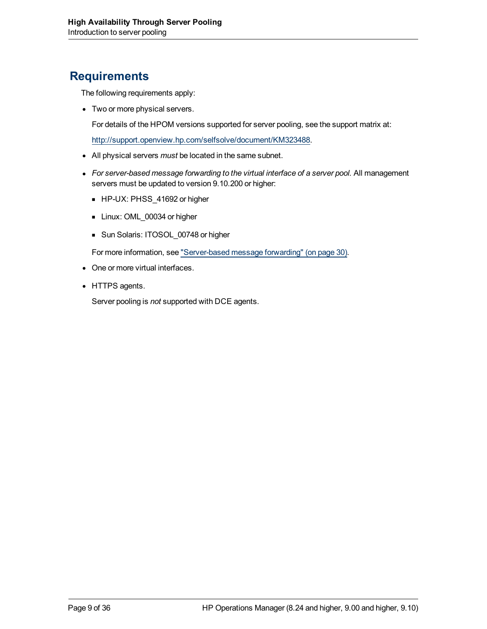## <span id="page-8-0"></span>**Requirements**

The following requirements apply:

• Two or more physical servers.

For details of the HPOM versions supported for server pooling, see the support matrix at:

<http://support.openview.hp.com/selfsolve/document/KM323488>.

- All physical servers *must* be located in the same subnet.
- For server-based message forwarding to the virtual interface of a server pool. All management servers must be updated to version 9.10.200 or higher:
	- HP-UX: PHSS\_41692 or higher
	- Linux: OML\_00034 or higher
	- Sun Solaris: ITOSOL\_00748 or higher

For more information, see ["Server-based](#page-29-0) [message](#page-29-0) [forwarding"](#page-29-0) [\(on](#page-29-0) [page](#page-29-0) [30\)](#page-29-0).

- One or more virtual interfaces.
- HTTPS agents.

Server pooling is *not* supported with DCE agents.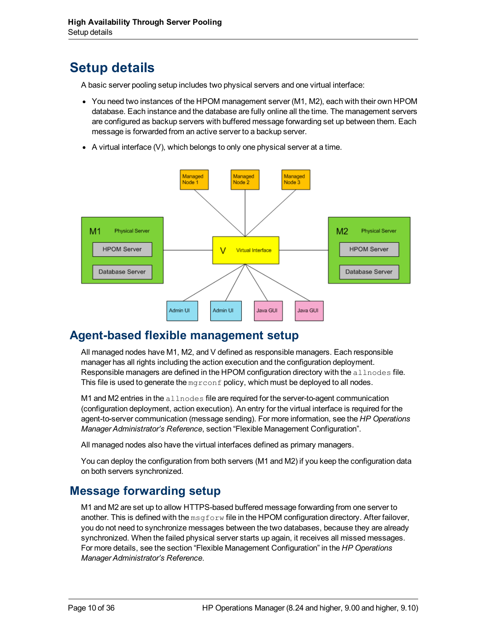## <span id="page-9-0"></span>**Setup details**

A basic server pooling setup includes two physical servers and one virtual interface:

- You need two instances of the HPOM management server (M1, M2), each with their own HPOM database. Each instance and the database are fully online all the time. The management servers are configured as backup servers with buffered message forwarding set up between them. Each message is forwarded from an active server to a backup server.
- A virtual interface  $(V)$ , which belongs to only one physical server at a time.



## <span id="page-9-1"></span>**Agent-based flexible management setup**

All managed nodes have M1, M2, and V defined as responsible managers. Each responsible manager has all rights including the action execution and the configuration deployment. Responsible managers are defined in the HPOM configuration directory with the allnodes file. This file is used to generate the  $mgr \text{const}$  policy, which must be deployed to all nodes.

M1 and M2 entries in the  $\alpha\ln\log\alpha$  file are required for the server-to-agent communication (configuration deployment, action execution). An entry for the virtual interface is required for the agent-to-server communication (message sending). For more information, see the *HP Operations Manager Administrator's Reference*, section "Flexible Management Configuration".

All managed nodes also have the virtual interfaces defined as primary managers.

You can deploy the configuration from both servers (M1 and M2) if you keep the configuration data on both servers synchronized.

## <span id="page-9-2"></span>**Message forwarding setup**

M1 and M2 are set up to allow HTTPS-based buffered message forwarding from one server to another. This is defined with the  $msgform$  file in the HPOM configuration directory. After failover, you do not need to synchronize messages between the two databases, because they are already synchronized. When the failed physical server starts up again, it receives all missed messages. For more details, see the section "Flexible Management Configuration" in the *HP Operations Manager Administrator's Reference*.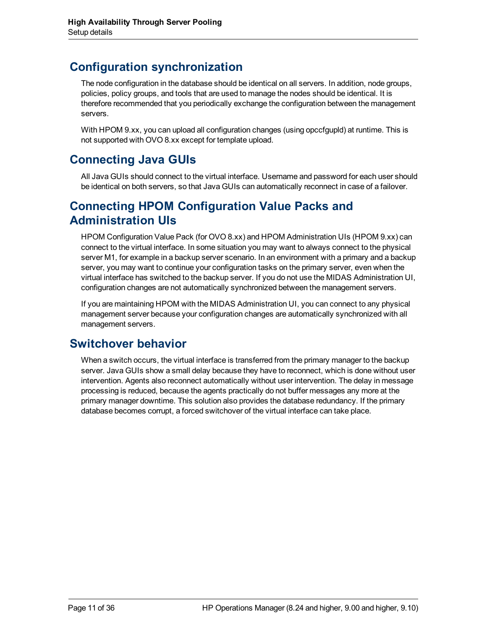## <span id="page-10-0"></span>**Configuration synchronization**

The node configuration in the database should be identical on all servers. In addition, node groups, policies, policy groups, and tools that are used to manage the nodes should be identical. It is therefore recommended that you periodically exchange the configuration between the management servers.

With HPOM 9.xx, you can upload all configuration changes (using opccfgupld) at runtime. This is not supported with OVO 8.xx except for template upload.

## <span id="page-10-1"></span>**Connecting Java GUIs**

All Java GUIs should connect to the virtual interface. Username and password for each user should be identical on both servers, so that Java GUIs can automatically reconnect in case of a failover.

## <span id="page-10-2"></span>**Connecting HPOM Configuration Value Packs and Administration UIs**

HPOM Configuration Value Pack (for OVO 8.xx) and HPOM Administration UIs (HPOM 9.xx) can connect to the virtual interface. In some situation you may want to always connect to the physical server M1, for example in a backup server scenario. In an environment with a primary and a backup server, you may want to continue your configuration tasks on the primary server, even when the virtual interface has switched to the backup server. If you do not use the MIDAS Administration UI, configuration changes are not automatically synchronized between the management servers.

If you are maintaining HPOM with the MIDAS Administration UI, you can connect to any physical management server because your configuration changes are automatically synchronized with all management servers.

## <span id="page-10-3"></span>**Switchover behavior**

When a switch occurs, the virtual interface is transferred from the primary manager to the backup server. Java GUIs show a small delay because they have to reconnect, which is done without user intervention. Agents also reconnect automatically without user intervention. The delay in message processing is reduced, because the agents practically do not buffer messages any more at the primary manager downtime. This solution also provides the database redundancy. If the primary database becomes corrupt, a forced switchover of the virtual interface can take place.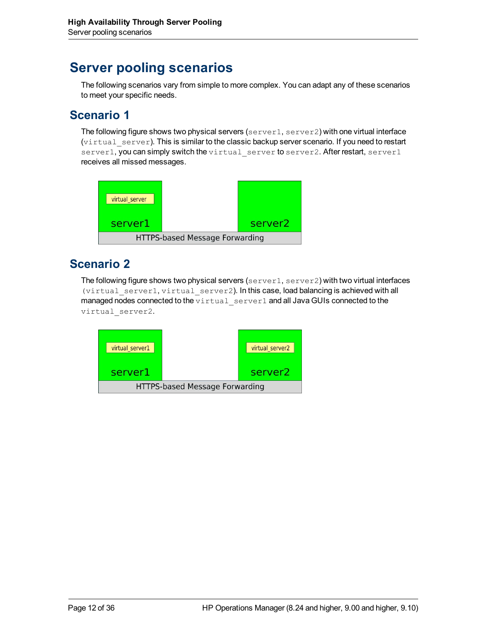## <span id="page-11-0"></span>**Server pooling scenarios**

The following scenarios vary from simple to more complex. You can adapt any of these scenarios to meet your specific needs.

## <span id="page-11-1"></span>**Scenario 1**

The following figure shows two physical servers (server1, server2) with one virtual interface (virtual\_server). This is similar to the classic backup server scenario. If you need to restart server1, you can simply switch the virtual\_server to server2. After restart, server1 receives all missed messages.



## <span id="page-11-2"></span>**Scenario 2**

The following figure shows two physical servers (server1, server2) with two virtual interfaces  $(virtual$  server1,  $virtual$  server2). In this case, load balancing is achieved with all managed nodes connected to the virtual\_server1 and all Java GUIs connected to the virtual\_server2.

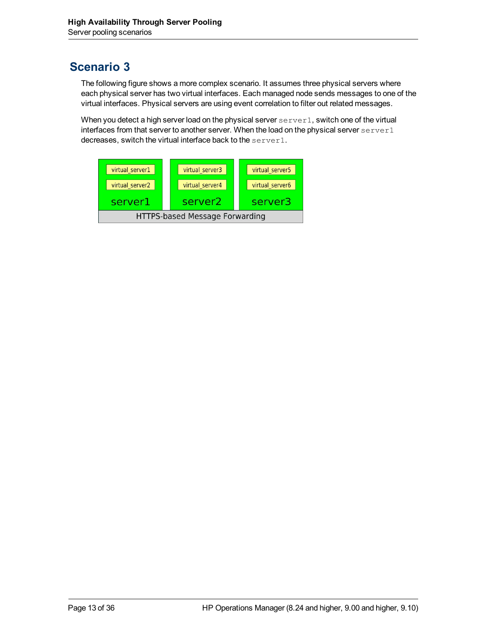## <span id="page-12-0"></span>**Scenario 3**

The following figure shows a more complex scenario. It assumes three physical servers where each physical server has two virtual interfaces. Each managed node sends messages to one of the virtual interfaces. Physical servers are using event correlation to filter out related messages.

When you detect a high server load on the physical server server1, switch one of the virtual interfaces from that server to another server. When the load on the physical server  $\text{server1}$ decreases, switch the virtual interface back to the server1.

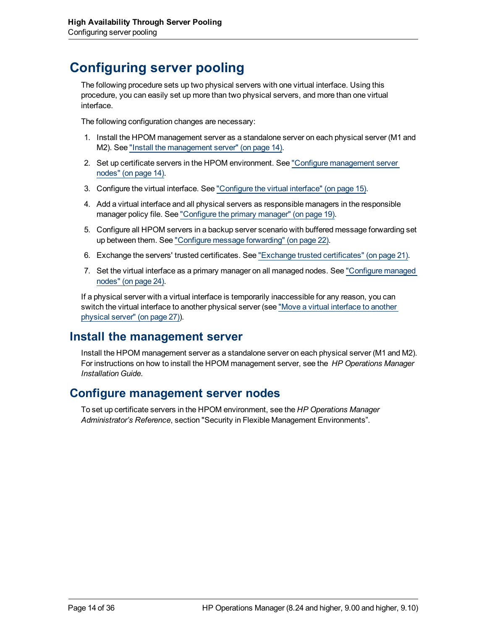## <span id="page-13-0"></span>**Configuring server pooling**

The following procedure sets up two physical servers with one virtual interface. Using this procedure, you can easily set up more than two physical servers, and more than one virtual interface.

The following configuration changes are necessary:

- 1. Install the HPOM management server as a standalone server on each physical server (M1 and M2). See ["Install](#page-13-1) [the](#page-13-1) [management](#page-13-1) [server"](#page-13-1) [\(on](#page-13-1) [page](#page-13-1) [14\).](#page-13-1)
- 2. Set up certificate servers in the HPOM environment. See ["Configure](#page-13-2) [management](#page-13-2) [server](#page-13-2) [nodes"](#page-13-2) [\(on](#page-13-2) [page](#page-13-2) [14\)](#page-13-2).
- 3. Configure the virtual interface. See ["Configure](#page-14-0) [the](#page-14-0) [virtual](#page-14-0) [interface"](#page-14-0) [\(on](#page-14-0) [page](#page-14-0) [15\)](#page-14-0).
- 4. Add a virtual interface and all physical servers as responsible managers in the responsible manager policy file. See ["Configure](#page-18-0) [the](#page-18-0) [primary](#page-18-0) [manager"](#page-18-0) [\(on](#page-18-0) [page](#page-18-0) [19\).](#page-18-0)
- 5. Configure all HPOM servers in a backup server scenario with buffered message forwarding set up between them. See ["Configure](#page-21-0) [message](#page-21-0) [forwarding"](#page-21-0) [\(on](#page-21-0) [page](#page-21-0) [22\)](#page-21-0).
- 6. Exchange the servers' trusted certificates. See ["Exchange](#page-20-0) [trusted](#page-20-0) [certificates"](#page-20-0) [\(on](#page-20-0) [page](#page-20-0) [21\)](#page-20-0).
- 7. Set the virtual interface as a primary manager on all managed nodes. See ["Configure](#page-23-0) [managed](#page-23-0) [nodes"](#page-23-0) [\(on](#page-23-0) [page](#page-23-0) [24\)](#page-23-0).

If a physical server with a virtual interface is temporarily inaccessible for any reason, you can switch the virtual interface to another physical server (see ["Move](#page-26-0) [a](#page-26-0) [virtual](#page-26-0) [interface](#page-26-0) [to](#page-26-0) [another](#page-26-0) [physical](#page-26-0) [server"](#page-26-0) [\(on](#page-26-0) [page](#page-26-0) [27\)\)](#page-26-0).

### <span id="page-13-1"></span>**Install the management server**

Install the HPOM management server as a standalone server on each physical server (M1 and M2). For instructions on how to install the HPOM management server, see the  *HP Operations Manager Installation Guide*.

### <span id="page-13-2"></span>**Configure management server nodes**

To set up certificate servers in the HPOM environment, see the *HP Operations Manager Administrator's Reference*, section "Security in Flexible Management Environments".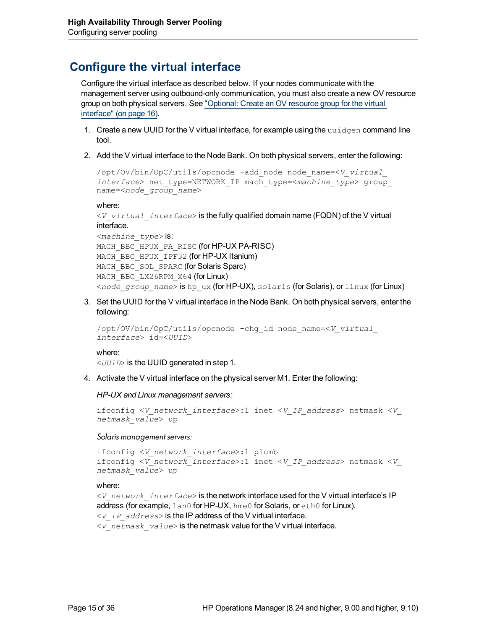## <span id="page-14-0"></span>**Configure the virtual interface**

Configure the virtual interface as described below. If your nodes communicate with the management server using outbound-only communication, you must also create a new OV resource group on both physical servers. See ["Optional:](#page-15-0) [Create](#page-15-0) [an](#page-15-0) [OV](#page-15-0) [resource](#page-15-0) [group](#page-15-0) [for](#page-15-0) [the](#page-15-0) [virtual](#page-15-0) [interface"](#page-15-0) [\(on](#page-15-0) [page](#page-15-0) [16\)](#page-15-0).

- 1. Create a new UUID for the V virtual interface, for example using the uuidgen command line tool.
- 2. Add the V virtual interface to the Node Bank. On both physical servers, enter the following:

```
/opt/OV/bin/OpC/utils/opcnode -add_node node_name=<V_virtual_
interface> net_type=NETWORK_IP mach_type=<machine_type> group_
name=<node_group_name>
```
#### where:

```
<V_virtual_interface> is the fully qualified domain name (FQDN) of the V virtual
interface.
```

```
<machine_type> is:
MACH BBC HPUX PA RISC (for HP-UX PA-RISC)
MACH_BBC_HPUX_IPF32 (for HP-UX Itanium)
MACH_BBC_SOL_SPARC (for Solaris Sparc)
MACH_BBC_LX26RPM_X64 (for Linux)
<node_group_name> is hp_ux (for HP-UX), solaris (for Solaris), or linux (for Linux)
```
3. Set the UUID for the V virtual interface in the Node Bank. On both physical servers, enter the following:

```
/opt/OV/bin/OpC/utils/opcnode -chg_id node_name=<V_virtual_
interface> id=<UUID>
```
#### where:

<*UUID*> is the UUID generated in step 1.

4. Activate the V virtual interface on the physical server M1. Enter the following:

*HP-UX and Linux management servers:*

```
ifconfig <V_network_interface>:1 inet <V_IP_address> netmask <V_
netmask_value> up
```
*Solaris management servers:*

```
ifconfig <V_network_interface>:1 plumb
ifconfig <V_network_interface>:1 inet <V_IP_address> netmask <V_
netmask_value> up
```
#### where:

```
<V_network_interface> is the network interface used for the V virtual interface's IP
address (for example, lan0 for HP-UX, hme0 for Solaris, or eth0 for Linux).
<V_IP_address> is the IP address of the V virtual interface.
<V_netmask_value> is the netmask value for the V virtual interface.
```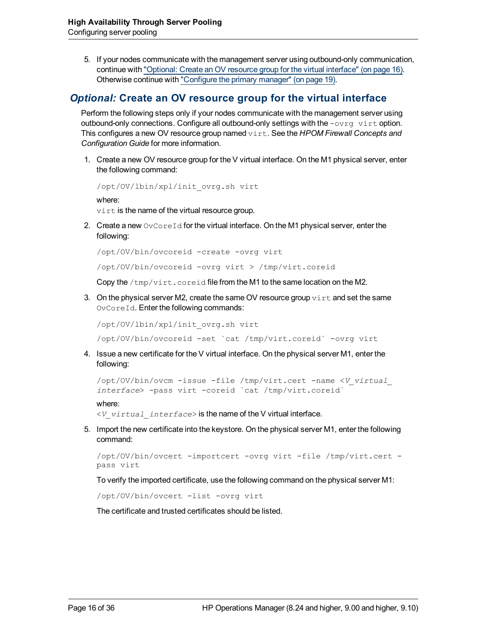5. If your nodes communicate with the management server using outbound-only communication, continue with ["Optional:](#page-15-0) [Create](#page-15-0) [an](#page-15-0) [OV](#page-15-0) [resource](#page-15-0) [group](#page-15-0) [for](#page-15-0) [the](#page-15-0) [virtual](#page-15-0) [interface"](#page-15-0) [\(on](#page-15-0) [page](#page-15-0) [16\)](#page-15-0). Otherwise continue with ["Configure](#page-18-0) [the](#page-18-0) [primary](#page-18-0) [manager"](#page-18-0) [\(on](#page-18-0) [page](#page-18-0) [19\).](#page-18-0)

### <span id="page-15-0"></span>*Optional:* **Create an OV resource group for the virtual interface**

Perform the following steps only if your nodes communicate with the management server using outbound-only connections. Configure all outbound-only settings with the  $-\text{over }$  virt option. This configures a new OV resource group named virt. See the *HPOM Firewall Concepts and Configuration Guide* for more information.

1. Create a new OV resource group for the V virtual interface. On the M1 physical server, enter the following command:

/opt/OV/lbin/xpl/init\_ovrg.sh virt

where:

virt is the name of the virtual resource group.

2. Create a new  $\circ$ v $\circ$ oreId for the virtual interface. On the M1 physical server, enter the following:

```
/opt/OV/bin/ovcoreid -create -ovrg virt
```
/opt/OV/bin/ovcoreid -ovrg virt > /tmp/virt.coreid

Copy the /tmp/virt.coreid file from the M1 to the same location on the M2.

3. On the physical server M2, create the same OV resource group  $\text{virt}$  and set the same OvCoreId. Enter the following commands:

/opt/OV/lbin/xpl/init\_ovrg.sh virt

/opt/OV/bin/ovcoreid -set `cat /tmp/virt.coreid` -ovrg virt

4. Issue a new certificate for the V virtual interface. On the physical server M1, enter the following:

```
/opt/OV/bin/ovcm -issue -file /tmp/virt.cert -name <V_virtual_
interface> -pass virt -coreid `cat /tmp/virt.coreid`
```
where:

<*V\_virtual\_interface*> is the name of the V virtual interface.

5. Import the new certificate into the keystore. On the physical server M1, enter the following command:

```
/opt/OV/bin/ovcert -importcert -ovrg virt -file /tmp/virt.cert -
pass virt
```
To verify the imported certificate, use the following command on the physical server M1:

/opt/OV/bin/ovcert -list -ovrg virt

The certificate and trusted certificates should be listed.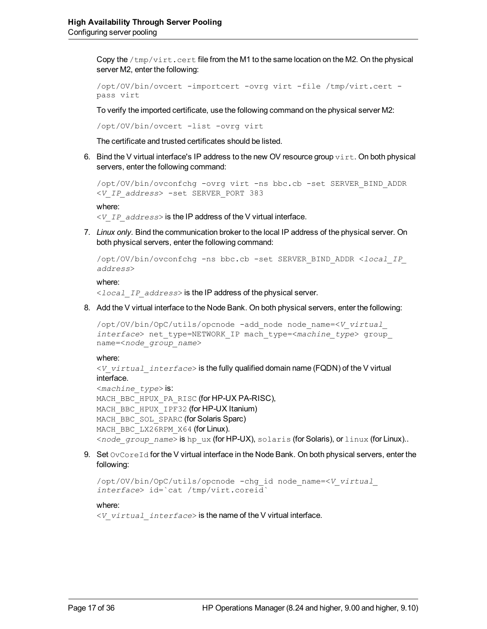Copy the  $/\text{tmp}/\text{virt}$ . cert file from the M1 to the same location on the M2. On the physical server M2, enter the following:

```
/opt/OV/bin/ovcert -importcert -ovrg virt -file /tmp/virt.cert -
pass virt
```
To verify the imported certificate, use the following command on the physical server M2:

/opt/OV/bin/ovcert -list -ovrg virt

The certificate and trusted certificates should be listed.

6. Bind the V virtual interface's IP address to the new OV resource group  $\text{virt.}$  On both physical servers, enter the following command:

```
/opt/OV/bin/ovconfchg -ovrg virt -ns bbc.cb -set SERVER_BIND_ADDR
<V_IP_address> -set SERVER_PORT 383
```

```
where:
```
<*V\_IP\_address*> is the IP address of the V virtual interface.

7. *Linux only.* Bind the communication broker to the local IP address of the physical server. On both physical servers, enter the following command:

```
/opt/OV/bin/ovconfchg -ns bbc.cb -set SERVER_BIND_ADDR <local_IP_
address>
```
where:

<*local\_IP\_address*> is the IP address of the physical server.

8. Add the V virtual interface to the Node Bank. On both physical servers, enter the following:

```
/opt/OV/bin/OpC/utils/opcnode -add_node node_name=<V_virtual_
interface> net_type=NETWORK_IP mach_type=<machine_type> group_
name=<node_group_name>
```
#### where:

<*V\_virtual\_interface*> is the fully qualified domain name (FQDN) of the V virtual interface.

```
<machine_type> is:
MACH BBC HPUX PA RISC (for HP-UX PA-RISC),
MACH_BBC_HPUX_IPF32 (for HP-UX Itanium)
MACH_BBC_SOL_SPARC (for Solaris Sparc)
MACH_BBC_LX26RPM_X64 (for Linux).
<node_group_name> is hp_ux (for HP-UX), solaris (for Solaris), or linux (for Linux)..
```
9. Set  $\circ$  $\vee$  $\circ$  $\circ$  $\neq$   $\circ$  for the V virtual interface in the Node Bank. On both physical servers, enter the following:

```
/opt/OV/bin/OpC/utils/opcnode -chg_id node_name=<V_virtual_
interface> id=`cat /tmp/virt.coreid`
```
#### where:

<*V\_virtual\_interface*> is the name of the V virtual interface.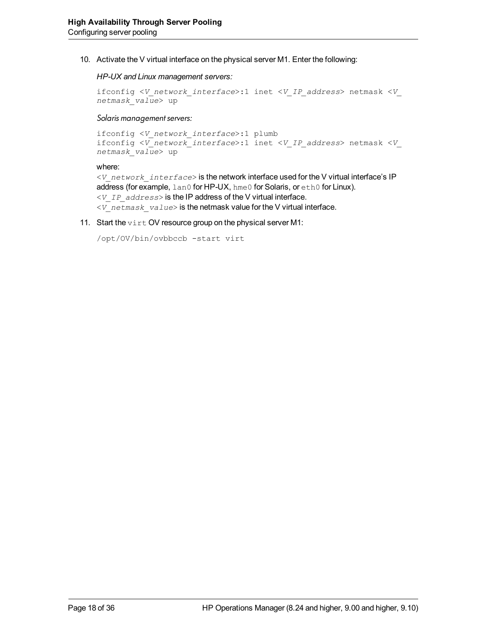10. Activate the V virtual interface on the physical server M1. Enter the following:

#### *HP-UX and Linux management servers:*

```
ifconfig <V_network_interface>:1 inet <V_IP_address> netmask <V_
netmask_value> up
```
#### *Solaris management servers:*

```
ifconfig <V_network_interface>:1 plumb
ifconfig <V_network_interface>:1 inet <V_IP_address> netmask <V_
netmask_value> up
```
#### where:

<*V\_network\_interface*> is the network interface used for the V virtual interface's IP address (for example, lan0 for HP-UX, hme0 for Solaris, or eth0 for Linux). <*V\_IP\_address*> is the IP address of the V virtual interface. <*V\_netmask\_value*> is the netmask value for the V virtual interface.

11. Start the  $\text{virt}$  OV resource group on the physical server M1:

```
/opt/OV/bin/ovbbccb -start virt
```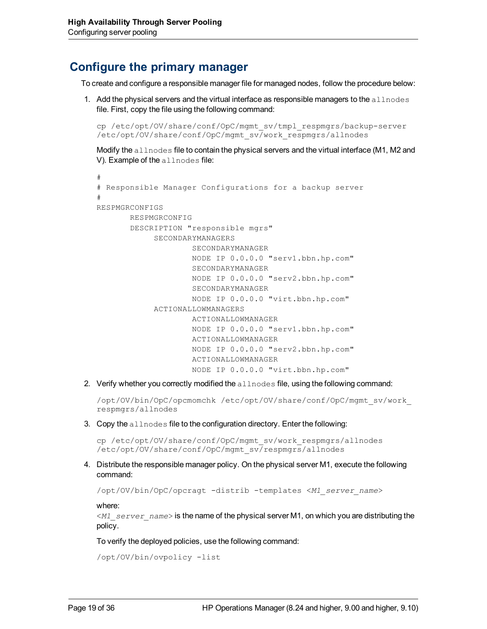### <span id="page-18-0"></span>**Configure the primary manager**

To create and configure a responsible manager file for managed nodes, follow the procedure below:

1. Add the physical servers and the virtual interface as responsible managers to the  $allnodes$ file. First, copy the file using the following command:

```
cp /etc/opt/OV/share/conf/OpC/mgmt_sv/tmpl_respmgrs/backup-server
/etc/opt/OV/share/conf/OpC/mgmt_sv/work_respmgrs/allnodes
```
Modify the allnodes file to contain the physical servers and the virtual interface (M1, M2 and V). Example of the allnodes file:

```
# Responsible Manager Configurations for a backup server
#
RESPMGRCONFIGS
                 RESPMGRCONFIG
                  DESCRIPTION "responsible mgrs"
                              SECONDARYMANAGERS
                                                   SECONDARYMANAGER
                                           NODE IP 0.0.0.0 "serv1.bbn.hp.com"
                                 SECONDARYMANAGER
                                                   NODE IP 0.0.0.0 "serv2.bbn.hp.com"
                                                   SECONDARYMANAGER
                                                   NODE IP 0.0.0.0 "virt.bbn.hp.com"
                              ACTIONALLOWMANAGERS
                                                   ACTIONALLOWMANAGER
                                                   NODE IP 0.0.0.0 "serv1.bbn.hp.com"
                                                   ACTIONALLOWMANAGER
                                                   NODE IP 0.0.0.0 "serv2.bbn.hp.com"
                                                   ACTIONALLOWMANAGER
                                                   NODE IP 0.0.0.0 "virt.bbn.hp.com"
```
2. Verify whether you correctly modified the  $\alpha$ llnodes file, using the following command:

/opt/OV/bin/OpC/opcmomchk /etc/opt/OV/share/conf/OpC/mgmt\_sv/work\_ respmgrs/allnodes

3. Copy the allnodes file to the configuration directory. Enter the following:

cp /etc/opt/OV/share/conf/OpC/mgmt\_sv/work\_respmgrs/allnodes /etc/opt/OV/share/conf/OpC/mgmt\_sv/respmgrs/allnodes

4. Distribute the responsible manager policy. On the physical server M1, execute the following command:

/opt/OV/bin/OpC/opcragt -distrib -templates <*M1\_server\_name*>

where:

#

<*M1\_server\_name*> is the name of the physical server M1, on which you are distributing the policy.

To verify the deployed policies, use the following command:

/opt/OV/bin/ovpolicy -list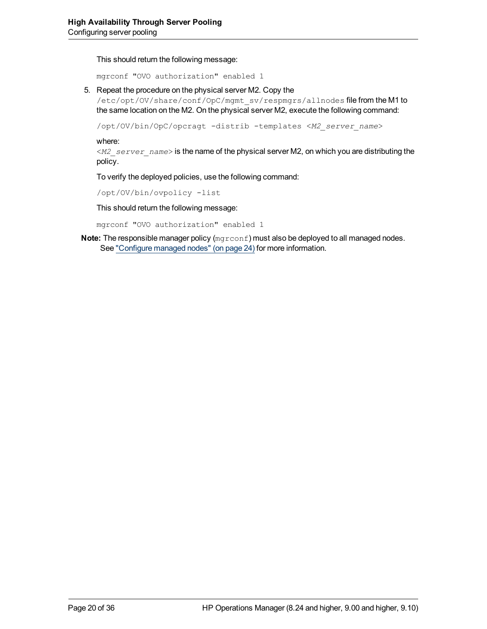This should return the following message:

mgrconf "OVO authorization" enabled 1

5. Repeat the procedure on the physical server M2. Copy the

/etc/opt/OV/share/conf/OpC/mgmt\_sv/respmgrs/allnodes file from the M1 to the same location on the M2. On the physical server M2, execute the following command:

/opt/OV/bin/OpC/opcragt -distrib -templates <*M2\_server\_name*>

where:

<*M2\_server\_name*> is the name of the physical server M2, on which you are distributing the policy.

To verify the deployed policies, use the following command:

/opt/OV/bin/ovpolicy -list

This should return the following message:

mgrconf "OVO authorization" enabled 1

**Note:** The responsible manager policy ( $mgrcont$ ) must also be deployed to all managed nodes. See ["Configure](#page-23-0) [managed](#page-23-0) [nodes"](#page-23-0) [\(on](#page-23-0) [page](#page-23-0) [24\)](#page-23-0) for more information.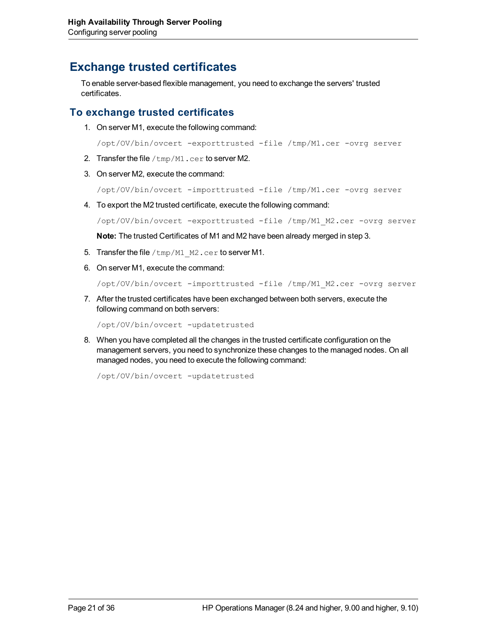## <span id="page-20-0"></span>**Exchange trusted certificates**

To enable server-based flexible management, you need to exchange the servers' trusted certificates.

### <span id="page-20-1"></span>**To exchange trusted certificates**

1. On server M1, execute the following command:

/opt/OV/bin/ovcert -exporttrusted -file /tmp/M1.cer -ovrg server

- 2. Transfer the file  $/\text{tmp}/\text{M1}$ .cer to server M2.
- 3. On server M2, execute the command:

/opt/OV/bin/ovcert -importtrusted -file /tmp/M1.cer -ovrg server

4. To export the M2 trusted certificate, execute the following command:

/opt/OV/bin/ovcert -exporttrusted -file /tmp/M1\_M2.cer -ovrg server

**Note:** The trusted Certificates of M1 and M2 have been already merged in step 3.

- 5. Transfer the file  $/\text{tmp}/M1$   $M2$ .cer to server M1.
- 6. On server M1, execute the command:

/opt/OV/bin/ovcert -importtrusted -file /tmp/M1\_M2.cer -ovrg server

7. After the trusted certificates have been exchanged between both servers, execute the following command on both servers:

/opt/OV/bin/ovcert -updatetrusted

8. When you have completed all the changes in the trusted certificate configuration on the management servers, you need to synchronize these changes to the managed nodes. On all managed nodes, you need to execute the following command:

/opt/OV/bin/ovcert -updatetrusted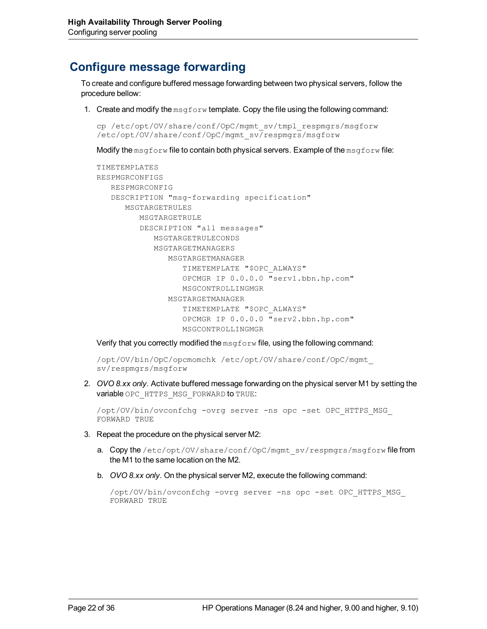## <span id="page-21-0"></span>**Configure message forwarding**

To create and configure buffered message forwarding between two physical servers, follow the procedure bellow:

1. Create and modify the  $msqforward$  template. Copy the file using the following command:

```
cp /etc/opt/OV/share/conf/OpC/mgmt_sv/tmpl_respmgrs/msgforw
/etc/opt/OV/share/conf/OpC/mgmt_sv/respmgrs/msgforw
```
Modify the msgforw file to contain both physical servers. Example of the msgforw file:

```
TIMETEMPLATES
RESPMGRCONFIGS
     RESPMGRCONFIG
     DESCRIPTION "msg-forwarding specification"
               MSGTARGETRULES
                      MSGTARGETRULE
                      DESCRIPTION "all messages"
                              MSGTARGETRULECONDS
                              MSGTARGETMANAGERS
                                     MSGTARGETMANAGER
                                             TIMETEMPLATE "$OPC_ALWAYS"
                                             OPCMGR IP 0.0.0.0 "serv1.bbn.hp.com"
                                             MSGCONTROLLINGMGR
                                     MSGTARGETMANAGER
                                             TIMETEMPLATE "$OPC_ALWAYS"
                                             OPCMGR IP 0.0.0.0 "serv2.bbn.hp.com"
                                             MSGCONTROLLINGMGR
```
Verify that you correctly modified the  $m$ sgforw file, using the following command:

/opt/OV/bin/OpC/opcmomchk /etc/opt/OV/share/conf/OpC/mgmt\_ sv/respmgrs/msgforw

2. *OVO 8.xx only.* Activate buffered message forwarding on the physical server M1 by setting the variable OPC\_HTTPS\_MSG\_FORWARD to TRUE:

/opt/OV/bin/ovconfchg -ovrg server -ns opc -set OPC\_HTTPS\_MSG\_ FORWARD TRUE

- 3. Repeat the procedure on the physical server M2:
	- a. Copy the /etc/opt/OV/share/conf/OpC/mgmt\_sv/respmgrs/msgforw file from the M1 to the same location on the M2.
	- b. *OVO 8.xx only.* On the physical server M2, execute the following command:

```
/opt/OV/bin/ovconfchg -ovrg server -ns opc -set OPC_HTTPS_MSG_
FORWARD TRUE
```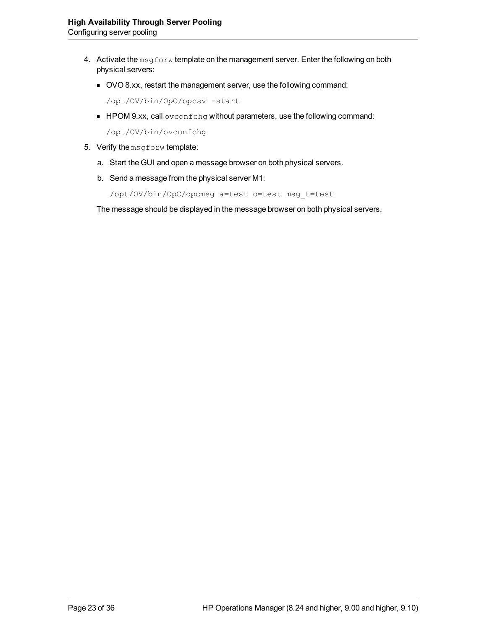- 4. Activate the msgforw template on the management server. Enter the following on both physical servers:
	- OVO 8.xx, restart the management server, use the following command:

/opt/OV/bin/OpC/opcsv -start

**HPOM 9.xx, call ovconfchg without parameters, use the following command:** 

/opt/OV/bin/ovconfchg

- 5. Verify the msgforw template:
	- a. Start the GUI and open a message browser on both physical servers.
	- b. Send a message from the physical server M1:

```
/opt/OV/bin/OpC/opcmsg a=test o=test msg_t=test
```
The message should be displayed in the message browser on both physical servers.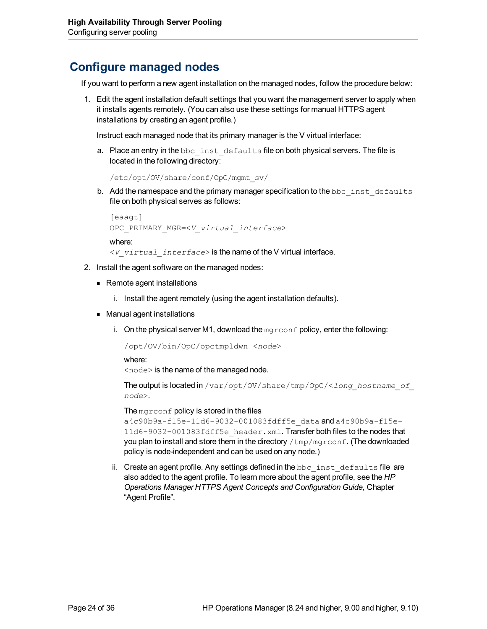## <span id="page-23-0"></span>**Configure managed nodes**

If you want to perform a new agent installation on the managed nodes, follow the procedure below:

1. Edit the agent installation default settings that you want the management server to apply when it installs agents remotely. (You can also use these settings for manual HTTPS agent installations by creating an agent profile.)

Instruct each managed node that its primary manager is the V virtual interface:

a. Place an entry in the bbc\_inst\_defaults file on both physical servers. The file is located in the following directory:

```
/etc/opt/OV/share/conf/OpC/mgmt_sv/
```
b. Add the namespace and the primary manager specification to the bbc inst defaults file on both physical serves as follows:

```
[eaagt]
OPC_PRIMARY_MGR=<V_virtual_interface>
```
where:

<*V\_virtual\_interface*> is the name of the V virtual interface.

- 2. Install the agent software on the managed nodes:
	- Remote agent installations
		- i. Install the agent remotely (using the agent installation defaults).
	- Manual agent installations
		- i. On the physical server M1, download the  $mgr \text{conf}$  policy, enter the following:

/opt/OV/bin/OpC/opctmpldwn <*node*>

where:

<node> is the name of the managed node.

The output is located in /var/opt/OV/share/tmp/OpC/<*long\_hostname\_of\_ node*>.

The mg $r$ conf policy is stored in the files

a4c90b9a-f15e-11d6-9032-001083fdff5e\_data and a4c90b9a-f15e-11d6-9032-001083fdff5e\_header.xml. Transfer both files to the nodes that you plan to install and store them in the directory  $/\text{tmp}/\text{mgr}$  conf. (The downloaded policy is node-independent and can be used on any node.)

ii. Create an agent profile. Any settings defined in the bbc\_inst\_defaults file are also added to the agent profile. To learn more about the agent profile, see the *HP Operations Manager HTTPS Agent Concepts and Configuration Guide*, Chapter "Agent Profile".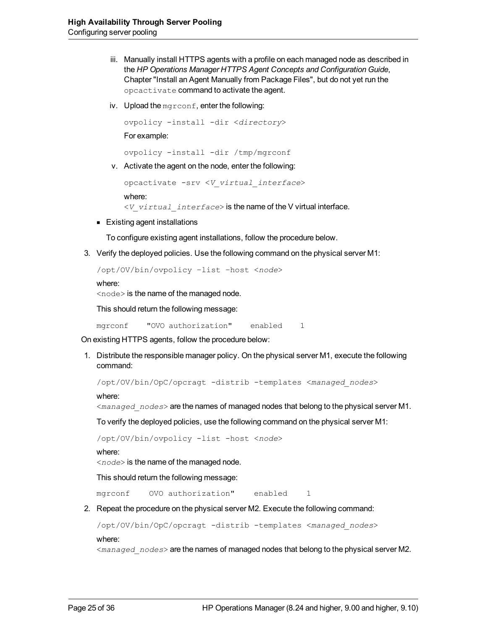- iii. Manually install HTTPS agents with a profile on each managed node as described in the *HP Operations Manager HTTPS Agent Concepts and Configuration Guide*, Chapter "Install an Agent Manually from Package Files", but do not yet run the opcactivate command to activate the agent.
- iv. Upload the mgrconf, enter the following:

ovpolicy -install -dir <*directory*> For example:

ovpolicy -install -dir /tmp/mgrconf

v. Activate the agent on the node, enter the following:

```
opcactivate -srv <V_virtual_interface>
where:
<V_virtual_interface> is the name of the V virtual interface.
```
**Existing agent installations** 

To configure existing agent installations, follow the procedure below.

3. Verify the deployed policies. Use the following command on the physical server M1:

```
/opt/OV/bin/ovpolicy –list –host <node>
```
where:

<node> is the name of the managed node.

This should return the following message:

mgrconf "OVO authorization" enabled 1

On existing HTTPS agents, follow the procedure below:

1. Distribute the responsible manager policy. On the physical server M1, execute the following command:

/opt/OV/bin/OpC/opcragt -distrib -templates <*managed\_nodes*>

where:

<*managed\_nodes*> are the names of managed nodes that belong to the physical server M1.

To verify the deployed policies, use the following command on the physical server M1:

/opt/OV/bin/ovpolicy -list -host <*node*>

where:

<*node*> is the name of the managed node.

This should return the following message:

mgrconf OVO authorization" enabled 1

2. Repeat the procedure on the physical server M2. Execute the following command:

```
/opt/OV/bin/OpC/opcragt -distrib -templates <managed_nodes>
```
where:

<*managed\_nodes*> are the names of managed nodes that belong to the physical server M2.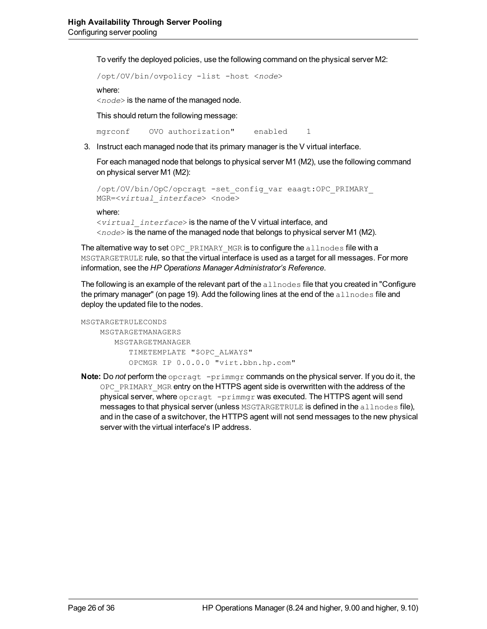To verify the deployed policies, use the following command on the physical server M2:

```
/opt/OV/bin/ovpolicy -list -host <node>
```
where:

<*node*> is the name of the managed node.

This should return the following message:

mgrconf OVO authorization" enabled 1

3. Instruct each managed node that its primary manager is the V virtual interface.

For each managed node that belongs to physical server M1 (M2), use the following command on physical server M1 (M2):

```
/opt/OV/bin/OpC/opcragt -set_config_var eaagt:OPC_PRIMARY_
MGR=<virtual_interface> <node>
```
where:

<*virtual\_interface*> is the name of the V virtual interface, and <*node*> is the name of the managed node that belongs to physical server M1 (M2).

The alternative way to set OPC PRIMARY MGR is to configure the allnodes file with a MSGTARGETRULE rule, so that the virtual interface is used as a target for all messages. For more information, see the *HP Operations Manager Administrator's Reference*.

Thefollowing is an example of the relevant part of the  $\alpha\ln\log\alpha$  file that you created in ["Configure](#page-18-0) [the primary manager" \(on page 19\)](#page-18-0). Add the following lines at the end of the allnodes file and deploy the updated file to the nodes.

```
MSGTARGETRULECONDS
        MSGTARGETMANAGERS
               MSGTARGETMANAGER
           TIMETEMPLATE "$OPC_ALWAYS"
                   OPCMGR IP 0.0.0.0 "virt.bbn.hp.com"
```
**Note:** Do *not* perform the opcragt -primmgr commands on the physical server. If you do it, the OPC PRIMARY MGR entry on the HTTPS agent side is overwritten with the address of the physical server, where opcragt -primmgr was executed. The HTTPS agent will send messages to that physical server (unless MSGTARGETRULE is defined in the allnodes file), and in the case of a switchover, the HTTPS agent will not send messages to the new physical server with the virtual interface's IP address.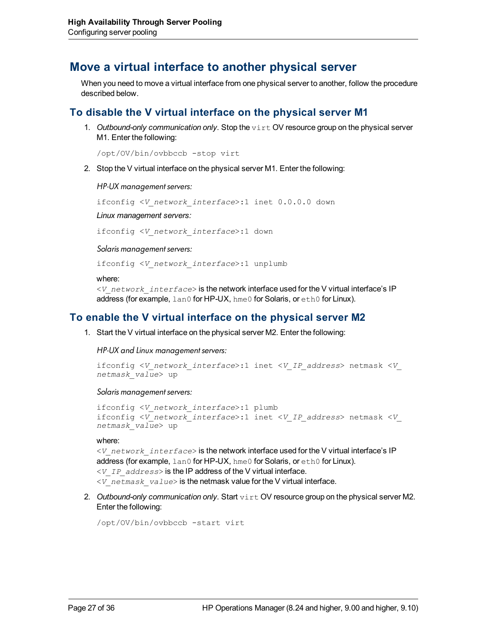### <span id="page-26-0"></span>**Move a virtual interface to another physical server**

When you need to move a virtual interface from one physical server to another, follow the procedure described below.

### <span id="page-26-1"></span>**To disable the V virtual interface on the physical server M1**

1. *Outbound-only communication only.* Stop the virt OV resource group on the physical server M1. Enter the following:

/opt/OV/bin/ovbbccb -stop virt

2. Stop the V virtual interface on the physical server M1. Enter the following:

*HP-UX management servers:*

ifconfig <*V\_network\_interface*>:1 inet 0.0.0.0 down

*Linux management servers:*

ifconfig <*V\_network\_interface*>:1 down

*Solaris management servers:*

ifconfig <*V\_network\_interface*>:1 unplumb

where:

<*V\_network\_interface*> is the network interface used for the V virtual interface's IP address (for example,  $tan 0$  for HP-UX, hme 0 for Solaris, or eth0 for Linux).

### <span id="page-26-2"></span>**To enable the V virtual interface on the physical server M2**

1. Start the V virtual interface on the physical server M2. Enter the following:

*HP-UX and Linux management servers:*

```
ifconfig <V_network_interface>:1 inet <V_IP_address> netmask <V_
netmask_value> up
```
#### *Solaris management servers:*

```
ifconfig <V_network_interface>:1 plumb
ifconfig <V_network_interface>:1 inet <V_IP_address> netmask <V_
netmask_value> up
```
where:

```
<V_network_interface> is the network interface used for the V virtual interface's IP
address (for example, lan0 for HP-UX, hme0 for Solaris, or eth0 for Linux).
<V_IP_address> is the IP address of the V virtual interface.
<V_netmask_value> is the netmask value for the V virtual interface.
```
2. Outbound-only communication only. Start virt OV resource group on the physical server M2. Enter the following:

```
/opt/OV/bin/ovbbccb -start virt
```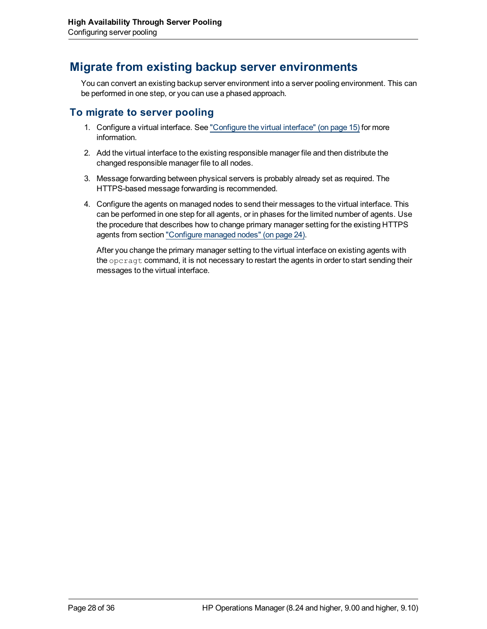## <span id="page-27-0"></span>**Migrate from existing backup server environments**

You can convert an existing backup server environment into a server pooling environment. This can be performed in one step, or you can use a phased approach.

### <span id="page-27-1"></span>**To migrate to server pooling**

- 1. Configure a virtual interface. See ["Configure](#page-14-0) [the](#page-14-0) [virtual](#page-14-0) [interface"](#page-14-0) [\(on](#page-14-0) [page](#page-14-0) [15\)](#page-14-0) for more information.
- 2. Add the virtual interface to the existing responsible manager file and then distribute the changed responsible manager file to all nodes.
- 3. Message forwarding between physical servers is probably already set as required. The HTTPS-based message forwarding is recommended.
- 4. Configure the agents on managed nodes to send their messages to the virtual interface. This can be performed in one step for all agents, or in phases for the limited number of agents. Use the procedure that describes how to change primary manager setting for the existing HTTPS agents from section ["Configure](#page-23-0) [managed](#page-23-0) [nodes"](#page-23-0) [\(on](#page-23-0) [page](#page-23-0) [24\)](#page-23-0).

After you change the primary manager setting to the virtual interface on existing agents with the opcragt command, it is not necessary to restart the agents in order to start sending their messages to the virtual interface.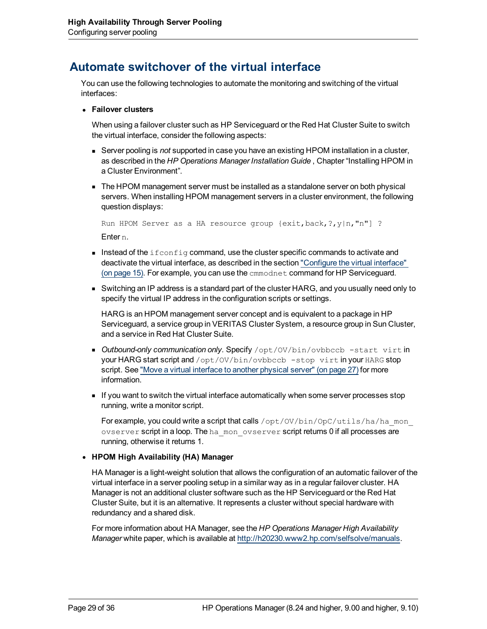## <span id="page-28-0"></span>**Automate switchover of the virtual interface**

You can use the following technologies to automate the monitoring and switching of the virtual interfaces:

<sup>l</sup> **Failover clusters**

When using a failover cluster such as HP Serviceguard or the Red Hat Cluster Suite to switch the virtual interface, consider the following aspects:

- **EXECT SERVER POOLING IS** *not* supported in case you have an existing HPOM installation in a cluster, as described in the *HP Operations Manager Installation Guide* , Chapter "Installing HPOM in a Cluster Environment".
- **The HPOM management server must be installed as a standalone server on both physical** servers. When installing HPOM management servers in a cluster environment, the following question displays:

Run HPOM Server as a HA resource group {exit,back,?,y|n,"n"] ? Enter n.

- Instead of the ifferential command, use the cluster specific commands to activate and deactivate the virtual interface, as described in the section ["Configure](#page-14-0) [the](#page-14-0) [virtual](#page-14-0) [interface"](#page-14-0) [\(on](#page-14-0) [page](#page-14-0) [15\)](#page-14-0). For example, you can use the cmmodnet command for HP Serviceguard.
- **Now Switching an IP address is a standard part of the cluster HARG, and you usually need only to** specify the virtual IP address in the configuration scripts or settings.

HARG is an HPOM management server concept and is equivalent to a package in HP Serviceguard, a service group in VERITAS Cluster System, a resource group in Sun Cluster, and a service in Red Hat Cluster Suite.

- **Dutbound-only communication only. Specify** /opt/OV/bin/ovbbccb -start virt in your HARG start script and /opt/OV/bin/ovbbccb -stop virt in your HARG stop script. See ["Move](#page-26-0) [a](#page-26-0) [virtual](#page-26-0) [interface](#page-26-0) [to](#page-26-0) [another](#page-26-0) [physical](#page-26-0) [server"](#page-26-0) [\(on](#page-26-0) [page](#page-26-0) [27\)](#page-26-0) for more information.
- **If you want to switch the virtual interface automatically when some server processes stop** running, write a monitor script.

For example, you could write a script that calls /opt/OV/bin/OpC/utils/ha/ha\_mon ovserver script in a loop. The hall monitorserver script returns 0 if all processes are running, otherwise it returns 1.

#### <sup>l</sup> **HPOM High Availability (HA) Manager**

HA Manager is a light-weight solution that allows the configuration of an automatic failover of the virtual interface in a server pooling setup in a similar way as in a regular failover cluster. HA Manager is not an additional cluster software such as the HP Serviceguard or the Red Hat Cluster Suite, but it is an alternative. It represents a cluster without special hardware with redundancy and a shared disk.

For more information about HA Manager, see the *HP Operations Manager High Availability Manager* white paper, which is available at <http://h20230.www2.hp.com/selfsolve/manuals>.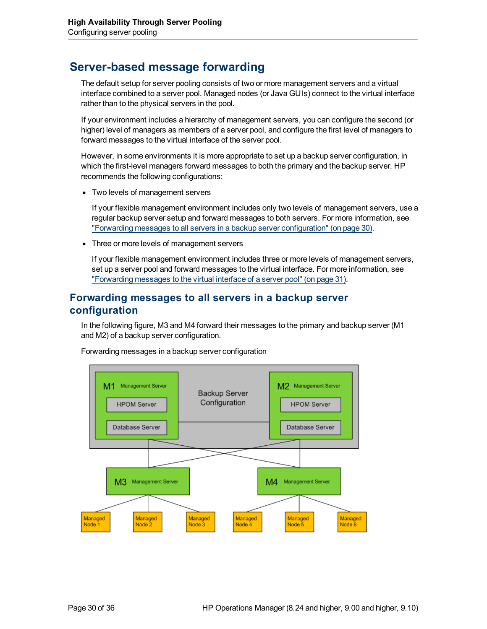## <span id="page-29-0"></span>**Server-based message forwarding**

The default setup for server pooling consists of two or more management servers and a virtual interface combined to a server pool. Managed nodes (or Java GUIs) connect to the virtual interface rather than to the physical servers in the pool.

If your environment includes a hierarchy of management servers, you can configure the second (or higher) level of managers as members of a server pool, and configure the first level of managers to forward messages to the virtual interface of the server pool.

However, in some environments it is more appropriate to set up a backup server configuration, in which the first-level managers forward messages to both the primary and the backup server. HP recommends the following configurations:

• Two levels of management servers

If your flexible management environment includes only two levels of management servers, use a regular backup server setup and forward messages to both servers. For more information, see ["Forwarding](#page-29-1) [messages](#page-29-1) [to](#page-29-1) [all](#page-29-1) [servers](#page-29-1) [in](#page-29-1) [a](#page-29-1) [backup](#page-29-1) [server](#page-29-1) [configuration"](#page-29-1) [\(on](#page-29-1) [page](#page-29-1) [30\)](#page-29-1).

• Three or more levels of management servers

<span id="page-29-1"></span>If your flexible management environment includes three or more levels of management servers, set up a server pool and forward messages to the virtual interface. For more information, see ["Forwarding](#page-30-0) [messages](#page-30-0) [to](#page-30-0) [the](#page-30-0) [virtual](#page-30-0) [interface](#page-30-0) [of](#page-30-0) [a](#page-30-0) [server](#page-30-0) [pool"](#page-30-0) [\(on](#page-30-0) [page](#page-30-0) [31\)](#page-30-0).

### **Forwarding messages to all servers in a backup server configuration**

In the following figure, M3 and M4 forward their messages to the primary and backup server (M1 and M2) of a backup server configuration.



Forwarding messages in a backup server configuration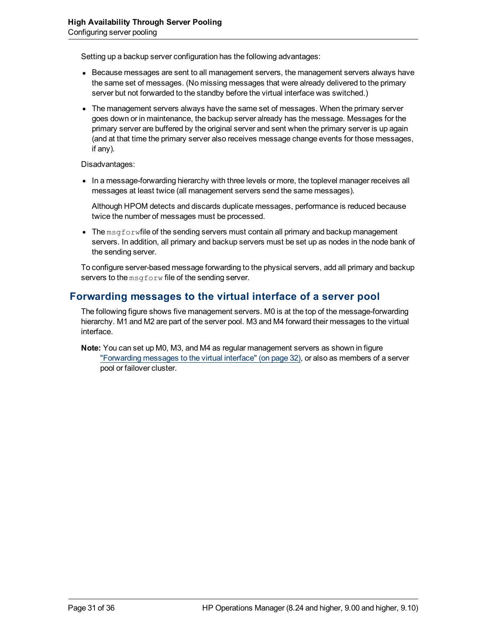Setting up a backup server configuration has the following advantages:

- Because messages are sent to all management servers, the management servers always have the same set of messages. (No missing messages that were already delivered to the primary server but not forwarded to the standby before the virtual interface was switched.)
- The management servers always have the same set of messages. When the primary server goes down or in maintenance, the backup server already has the message. Messages for the primary server are buffered by the original server and sent when the primary server is up again (and at that time the primary server also receives message change events for those messages, if any).

Disadvantages:

• In a message-forwarding hierarchy with three levels or more, the toplevel manager receives all messages at least twice (all management servers send the same messages).

Although HPOM detects and discards duplicate messages, performance is reduced because twice the number of messages must be processed.

 $\bullet$  The msgforwfile of the sending servers must contain all primary and backup management servers. In addition, all primary and backup servers must be set up as nodes in the node bank of the sending server.

<span id="page-30-0"></span>To configure server-based message forwarding to the physical servers, add all primary and backup servers to the msgforw file of the sending server.

### **Forwarding messages to the virtual interface of a server pool**

The following figure shows five management servers. M0 is at the top of the message-forwarding hierarchy. M1 and M2 are part of the server pool. M3 and M4 forward their messages to the virtual interface.

**Note:** You can set up M0, M3, and M4 as regular management servers as shown in figure ["Forwarding](#page-31-0) [messages](#page-31-0) [to](#page-31-0) [the](#page-31-0) [virtual](#page-31-0) [interface"](#page-31-0) [\(on](#page-31-0) [page](#page-31-0) [32\)](#page-31-0), or also as members of a server pool or failover cluster.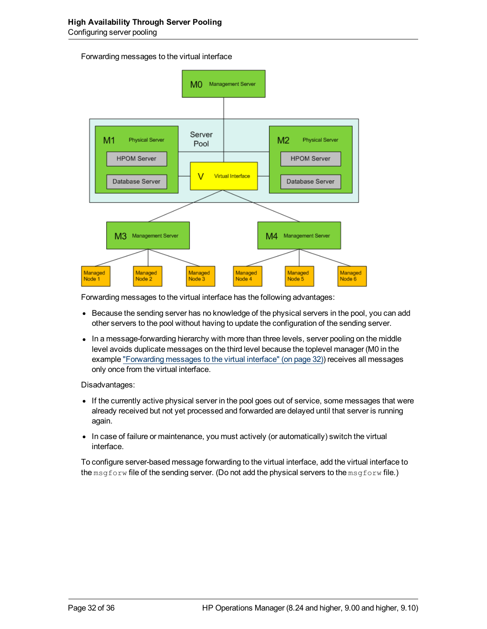#### <span id="page-31-0"></span>Forwarding messages to the virtual interface



Forwarding messages to the virtual interface has the following advantages:

- Because the sending server has no knowledge of the physical servers in the pool, you can add other servers to the pool without having to update the configuration of the sending server.
- In a message-forwarding hierarchy with more than three levels, server pooling on the middle level avoids duplicate messages on the third level because the toplevel manager (M0 in the example ["Forwarding](#page-31-0) [messages](#page-31-0) [to](#page-31-0) [the](#page-31-0) [virtual](#page-31-0) [interface"](#page-31-0) [\(on](#page-31-0) [page](#page-31-0) [32\)](#page-31-0)) receives all messages only once from the virtual interface.

Disadvantages:

- If the currently active physical server in the pool goes out of service, some messages that were already received but not yet processed and forwarded are delayed until that server is running again.
- In case of failure or maintenance, you must actively (or automatically) switch the virtual interface.

To configure server-based message forwarding to the virtual interface, add the virtual interface to the msgforw file of the sending server. (Do not add the physical servers to the msgforw file.)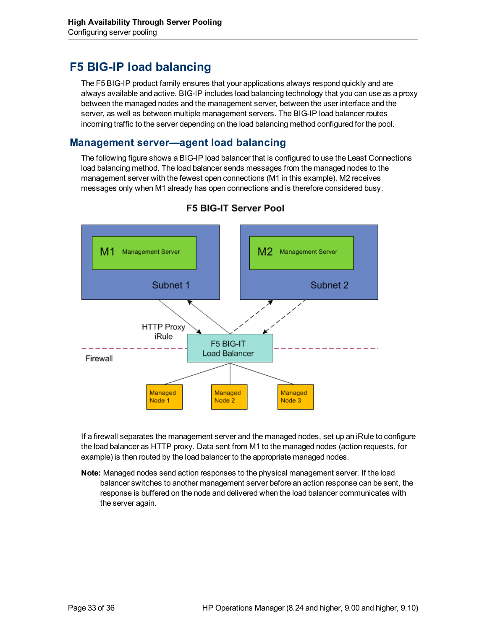## <span id="page-32-0"></span>**F5 BIG-IP load balancing**

The F5 BIG-IP product family ensures that your applications always respond quickly and are always available and active. BIG-IP includes load balancing technology that you can use as a proxy between the managed nodes and the management server, between the user interface and the server, as well as between multiple management servers. The BIG-IP load balancer routes incoming traffic to the server depending on the load balancing method configured for the pool.

### <span id="page-32-1"></span>**Management server—agent load balancing**

The following figure shows a BIG-IP load balancer that is configured to use the Least Connections load balancing method. The load balancer sends messages from the managed nodes to the management server with the fewest open connections (M1 in this example). M2 receives messages only when M1 already has open connections and is therefore considered busy.



### **F5 BIG-IT Server Pool**

If a firewall separates the management server and the managed nodes, set up an iRule to configure the load balancer as HTTP proxy. Data sent from M1 to the managed nodes (action requests, for example) is then routed by the load balancer to the appropriate managed nodes.

**Note:** Managed nodes send action responses to the physical management server. If the load balancer switches to another management server before an action response can be sent, the response is buffered on the node and delivered when the load balancer communicates with the server again.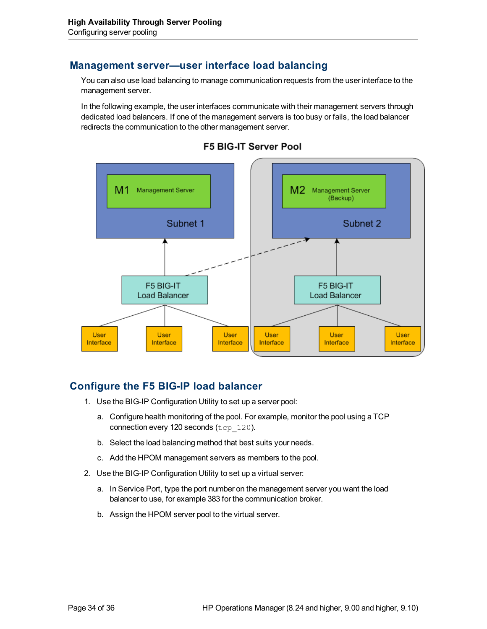### <span id="page-33-0"></span>**Management server—user interface load balancing**

You can also use load balancing to manage communication requests from the user interface to the management server.

In the following example, the user interfaces communicate with their management servers through dedicated load balancers. If one of the management servers is too busy or fails, the load balancer redirects the communication to the other management server.



#### **F5 BIG-IT Server Pool**

### <span id="page-33-1"></span>**Configure the F5 BIG-IP load balancer**

- 1. Use the BIG-IP Configuration Utility to set up a server pool:
	- a. Configure health monitoring of the pool. For example, monitor the pool using a TCP connection every 120 seconds (tcp\_120).
	- b. Select the load balancing method that best suits your needs.
	- c. Add the HPOM management servers as members to the pool.
- 2. Use the BIG-IP Configuration Utility to set up a virtual server:
	- a. In Service Port, type the port number on the management server you want the load balancer to use, for example 383 for the communication broker.
	- b. Assign the HPOM server pool to the virtual server.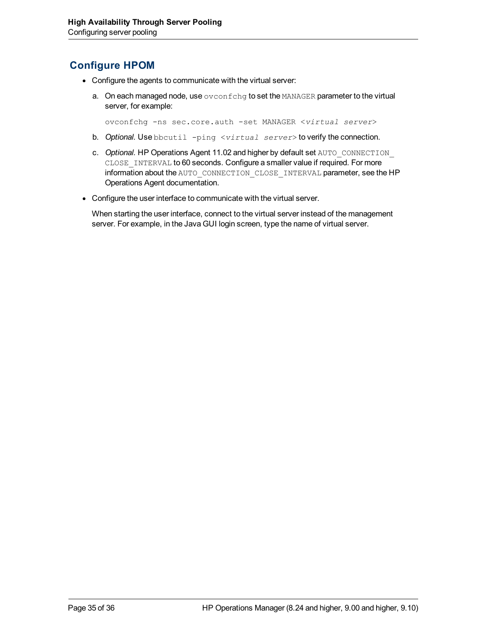### <span id="page-34-0"></span>**Configure HPOM**

- Configure the agents to communicate with the virtual server:
	- a. On each managed node, use  $\overline{\text{ovconf}}$ chg to set the MANAGER parameter to the virtual server, for example:

ovconfchg -ns sec.core.auth -set MANAGER <*virtual server*>

- b. *Optional.* Use bbcutil -ping <*virtual server*> to verify the connection.
- c. *Optional.* HP Operations Agent 11.02 and higher by default set AUTO\_CONNECTION\_ CLOSE\_INTERVAL to 60 seconds. Configure a smaller value if required. For more information about the AUTO\_CONNECTION\_CLOSE\_INTERVAL parameter, see the HP Operations Agent documentation.
- Configure the user interface to communicate with the virtual server.

When starting the user interface, connect to the virtual server instead of the management server. For example, in the Java GUI login screen, type the name of virtual server.